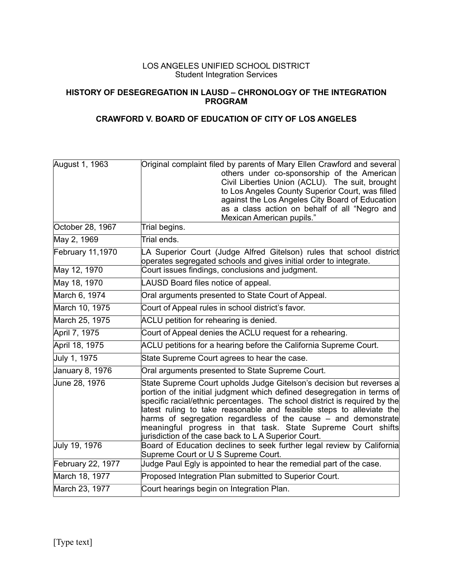## LOS ANGELES UNIFIED SCHOOL DISTRICT Student Integration Services

## **HISTORY OF DESEGREGATION IN LAUSD – CHRONOLOGY OF THE INTEGRATION PROGRAM**

## **CRAWFORD V. BOARD OF EDUCATION OF CITY OF LOS ANGELES**

| August 1, 1963    | Original complaint filed by parents of Mary Ellen Crawford and several<br>others under co-sponsorship of the American<br>Civil Liberties Union (ACLU). The suit, brought<br>to Los Angeles County Superior Court, was filled<br>against the Los Angeles City Board of Education<br>as a class action on behalf of all "Negro and<br>Mexican American pupils."                                                                                                                                  |
|-------------------|------------------------------------------------------------------------------------------------------------------------------------------------------------------------------------------------------------------------------------------------------------------------------------------------------------------------------------------------------------------------------------------------------------------------------------------------------------------------------------------------|
| October 28, 1967  | Trial begins.                                                                                                                                                                                                                                                                                                                                                                                                                                                                                  |
| May 2, 1969       | Trial ends.                                                                                                                                                                                                                                                                                                                                                                                                                                                                                    |
| February 11,1970  | LA Superior Court (Judge Alfred Gitelson) rules that school district<br>operates segregated schools and gives initial order to integrate.                                                                                                                                                                                                                                                                                                                                                      |
| May 12, 1970      | Court issues findings, conclusions and judgment.                                                                                                                                                                                                                                                                                                                                                                                                                                               |
| May 18, 1970      | LAUSD Board files notice of appeal.                                                                                                                                                                                                                                                                                                                                                                                                                                                            |
| March 6, 1974     | Oral arguments presented to State Court of Appeal.                                                                                                                                                                                                                                                                                                                                                                                                                                             |
| March 10, 1975    | Court of Appeal rules in school district's favor.                                                                                                                                                                                                                                                                                                                                                                                                                                              |
| March 25, 1975    | ACLU petition for rehearing is denied.                                                                                                                                                                                                                                                                                                                                                                                                                                                         |
| April 7, 1975     | Court of Appeal denies the ACLU request for a rehearing.                                                                                                                                                                                                                                                                                                                                                                                                                                       |
| April 18, 1975    | ACLU petitions for a hearing before the California Supreme Court.                                                                                                                                                                                                                                                                                                                                                                                                                              |
| July 1, 1975      | State Supreme Court agrees to hear the case.                                                                                                                                                                                                                                                                                                                                                                                                                                                   |
| January 8, 1976   | Oral arguments presented to State Supreme Court.                                                                                                                                                                                                                                                                                                                                                                                                                                               |
| June 28, 1976     | State Supreme Court upholds Judge Gitelson's decision but reverses a<br>portion of the initial judgment which defined desegregation in terms of<br>specific racial/ethnic percentages. The school district is required by the<br>latest ruling to take reasonable and feasible steps to alleviate the<br>harms of segregation regardless of the cause – and demonstrate<br>meaningful progress in that task. State Supreme Court shifts<br>jurisdiction of the case back to LA Superior Court. |
| July 19, 1976     | Board of Education declines to seek further legal review by California<br>Supreme Court or U S Supreme Court.                                                                                                                                                                                                                                                                                                                                                                                  |
| February 22, 1977 | Judge Paul Egly is appointed to hear the remedial part of the case.                                                                                                                                                                                                                                                                                                                                                                                                                            |
| March 18, 1977    | Proposed Integration Plan submitted to Superior Court.                                                                                                                                                                                                                                                                                                                                                                                                                                         |
| March 23, 1977    | Court hearings begin on Integration Plan.                                                                                                                                                                                                                                                                                                                                                                                                                                                      |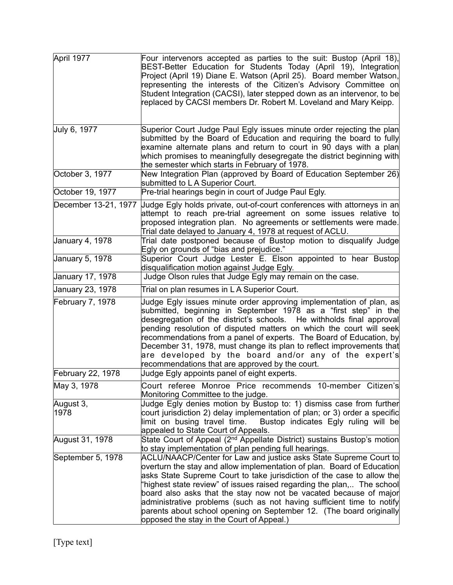| April 1977           | Four intervenors accepted as parties to the suit: Bustop (April 18),<br>BEST-Better Education for Students Today (April 19), Integration<br>Project (April 19) Diane E. Watson (April 25). Board member Watson,<br>representing the interests of the Citizen's Advisory Committee on<br>Student Integration (CACSI), later stepped down as an intervenor, to be                                                                                                                                                                                                   |
|----------------------|-------------------------------------------------------------------------------------------------------------------------------------------------------------------------------------------------------------------------------------------------------------------------------------------------------------------------------------------------------------------------------------------------------------------------------------------------------------------------------------------------------------------------------------------------------------------|
|                      | replaced by CACSI members Dr. Robert M. Loveland and Mary Keipp.                                                                                                                                                                                                                                                                                                                                                                                                                                                                                                  |
| July 6, 1977         | Superior Court Judge Paul Egly issues minute order rejecting the plan<br>submitted by the Board of Education and requiring the board to fully<br>examine alternate plans and return to court in 90 days with a plan<br>which promises to meaningfully desegregate the district beginning with<br>the semester which starts in February of 1978.                                                                                                                                                                                                                   |
| October 3, 1977      | New Integration Plan (approved by Board of Education September 26)<br>submitted to L A Superior Court.                                                                                                                                                                                                                                                                                                                                                                                                                                                            |
| October 19, 1977     | Pre-trial hearings begin in court of Judge Paul Egly.                                                                                                                                                                                                                                                                                                                                                                                                                                                                                                             |
| December 13-21, 1977 | Judge Egly holds private, out-of-court conferences with attorneys in an<br>attempt to reach pre-trial agreement on some issues relative to<br>proposed integration plan. No agreements or settlements were made.<br>Trial date delayed to January 4, 1978 at request of ACLU.                                                                                                                                                                                                                                                                                     |
| January 4, 1978      | Trial date postponed because of Bustop motion to disqualify Judge<br>Egly on grounds of "bias and prejudice."                                                                                                                                                                                                                                                                                                                                                                                                                                                     |
| January 5, 1978      | Superior Court Judge Lester E. Elson appointed to hear Bustop<br>disqualification motion against Judge Egly.                                                                                                                                                                                                                                                                                                                                                                                                                                                      |
| January 17, 1978     | Judge Olson rules that Judge Egly may remain on the case.                                                                                                                                                                                                                                                                                                                                                                                                                                                                                                         |
| January 23, 1978     | Trial on plan resumes in LA Superior Court.                                                                                                                                                                                                                                                                                                                                                                                                                                                                                                                       |
| February 7, 1978     | Judge Egly issues minute order approving implementation of plan, as<br>submitted, beginning in September 1978 as a "first step" in the<br>desegregation of the district's schools. He withholds final approval<br>pending resolution of disputed matters on which the court will seek<br>recommendations from a panel of experts. The Board of Education, by<br>December 31, 1978, must change its plan to reflect improvements that<br>are developed by the board and/or any of the expert's<br>recommendations that are approved by the court.                  |
| February 22, 1978    | Judge Egly appoints panel of eight experts.                                                                                                                                                                                                                                                                                                                                                                                                                                                                                                                       |
| May 3, 1978          | Court referee Monroe Price recommends 10-member Citizen's<br>Monitoring Committee to the judge.                                                                                                                                                                                                                                                                                                                                                                                                                                                                   |
| August 3,<br>1978    | Judge Egly denies motion by Bustop to: 1) dismiss case from further<br>court jurisdiction 2) delay implementation of plan; or 3) order a specific<br>limit on busing travel time.<br>Bustop indicates Egly ruling will be<br>appealed to State Court of Appeals.                                                                                                                                                                                                                                                                                                  |
| August 31, 1978      | State Court of Appeal (2 <sup>nd</sup> Appellate District) sustains Bustop's motion<br>to stay implementation of plan pending full hearings.                                                                                                                                                                                                                                                                                                                                                                                                                      |
| September 5, 1978    | ACLU/NAACP/Center for Law and justice asks State Supreme Court to<br>overturn the stay and allow implementation of plan. Board of Education<br>asks State Supreme Court to take jurisdiction of the case to allow the<br>'highest state review" of issues raised regarding the plan, The school<br>board also asks that the stay now not be vacated because of major<br>administrative problems (such as not having sufficient time to notify<br>parents about school opening on September 12. (The board originally<br>opposed the stay in the Court of Appeal.) |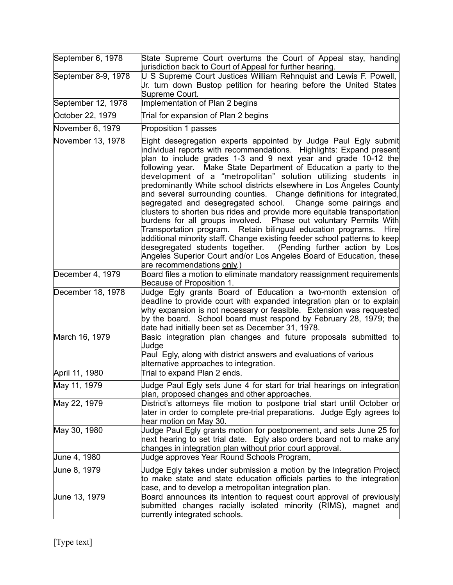| September 6, 1978   | State Supreme Court overturns the Court of Appeal stay, handing<br>jurisdiction back to Court of Appeal for further hearing.                                                                                                                                                                                                                                                                                                                                                                                                                                                                                                                                                                                                                                                                                                                                                                                                                                                                                                                   |
|---------------------|------------------------------------------------------------------------------------------------------------------------------------------------------------------------------------------------------------------------------------------------------------------------------------------------------------------------------------------------------------------------------------------------------------------------------------------------------------------------------------------------------------------------------------------------------------------------------------------------------------------------------------------------------------------------------------------------------------------------------------------------------------------------------------------------------------------------------------------------------------------------------------------------------------------------------------------------------------------------------------------------------------------------------------------------|
| September 8-9, 1978 | U S Supreme Court Justices William Rehnquist and Lewis F. Powell,<br>Ur. turn down Bustop petition for hearing before the United States<br>Supreme Court.                                                                                                                                                                                                                                                                                                                                                                                                                                                                                                                                                                                                                                                                                                                                                                                                                                                                                      |
| September 12, 1978  | Implementation of Plan 2 begins                                                                                                                                                                                                                                                                                                                                                                                                                                                                                                                                                                                                                                                                                                                                                                                                                                                                                                                                                                                                                |
| October 22, 1979    | Trial for expansion of Plan 2 begins                                                                                                                                                                                                                                                                                                                                                                                                                                                                                                                                                                                                                                                                                                                                                                                                                                                                                                                                                                                                           |
| November 6, 1979    | Proposition 1 passes                                                                                                                                                                                                                                                                                                                                                                                                                                                                                                                                                                                                                                                                                                                                                                                                                                                                                                                                                                                                                           |
| November 13, 1978   | Eight desegregation experts appointed by Judge Paul Egly submit<br>individual reports with recommendations. Highlights: Expand present<br>plan to include grades 1-3 and 9 next year and grade 10-12 the<br>following year. Make State Department of Education a party to the<br>development of a "metropolitan" solution utilizing students in<br>predominantly White school districts elsewhere in Los Angeles County<br>and several surrounding counties. Change definitions for integrated,<br>segregated and desegregated school. Change some pairings and<br>clusters to shorten bus rides and provide more equitable transportation<br>burdens for all groups involved. Phase out voluntary Permits With<br>Transportation program. Retain bilingual education programs.<br>Hire<br>additional minority staff. Change existing feeder school patterns to keep<br>(Pending further action by Los<br>desegregated students together.<br>Angeles Superior Court and/or Los Angeles Board of Education, these<br>are recommendations only.) |
| December 4, 1979    | Board files a motion to eliminate mandatory reassignment requirements<br>Because of Proposition 1.                                                                                                                                                                                                                                                                                                                                                                                                                                                                                                                                                                                                                                                                                                                                                                                                                                                                                                                                             |
| December 18, 1978   | Judge Egly grants Board of Education a two-month extension of<br>deadline to provide court with expanded integration plan or to explain<br>why expansion is not necessary or feasible. Extension was requested<br>by the board. School board must respond by February 28, 1979; the<br>date had initially been set as December 31, 1978.                                                                                                                                                                                                                                                                                                                                                                                                                                                                                                                                                                                                                                                                                                       |
| March 16, 1979      | Basic integration plan changes and future proposals submitted to<br>Judge<br>Paul Egly, along with district answers and evaluations of various<br>alternative approaches to integration.                                                                                                                                                                                                                                                                                                                                                                                                                                                                                                                                                                                                                                                                                                                                                                                                                                                       |
| April 11, 1980      | Trial to expand Plan 2 ends.                                                                                                                                                                                                                                                                                                                                                                                                                                                                                                                                                                                                                                                                                                                                                                                                                                                                                                                                                                                                                   |
| May 11, 1979        | Judge Paul Egly sets June 4 for start for trial hearings on integration<br>plan, proposed changes and other approaches.                                                                                                                                                                                                                                                                                                                                                                                                                                                                                                                                                                                                                                                                                                                                                                                                                                                                                                                        |
| May 22, 1979        | District's attorneys file motion to postpone trial start until October or<br>later in order to complete pre-trial preparations. Judge Egly agrees to<br>hear motion on May 30.                                                                                                                                                                                                                                                                                                                                                                                                                                                                                                                                                                                                                                                                                                                                                                                                                                                                 |
| May 30, 1980        | Judge Paul Egly grants motion for postponement, and sets June 25 for<br>next hearing to set trial date. Egly also orders board not to make any<br>changes in integration plan without prior court approval.                                                                                                                                                                                                                                                                                                                                                                                                                                                                                                                                                                                                                                                                                                                                                                                                                                    |
| June 4, 1980        | Judge approves Year Round Schools Program,                                                                                                                                                                                                                                                                                                                                                                                                                                                                                                                                                                                                                                                                                                                                                                                                                                                                                                                                                                                                     |
| June 8, 1979        | Judge Egly takes under submission a motion by the Integration Project<br>to make state and state education officials parties to the integration<br>case, and to develop a metropolitan integration plan.                                                                                                                                                                                                                                                                                                                                                                                                                                                                                                                                                                                                                                                                                                                                                                                                                                       |
| June 13, 1979       | Board announces its intention to request court approval of previously<br>submitted changes racially isolated minority (RIMS), magnet and<br>currently integrated schools.                                                                                                                                                                                                                                                                                                                                                                                                                                                                                                                                                                                                                                                                                                                                                                                                                                                                      |